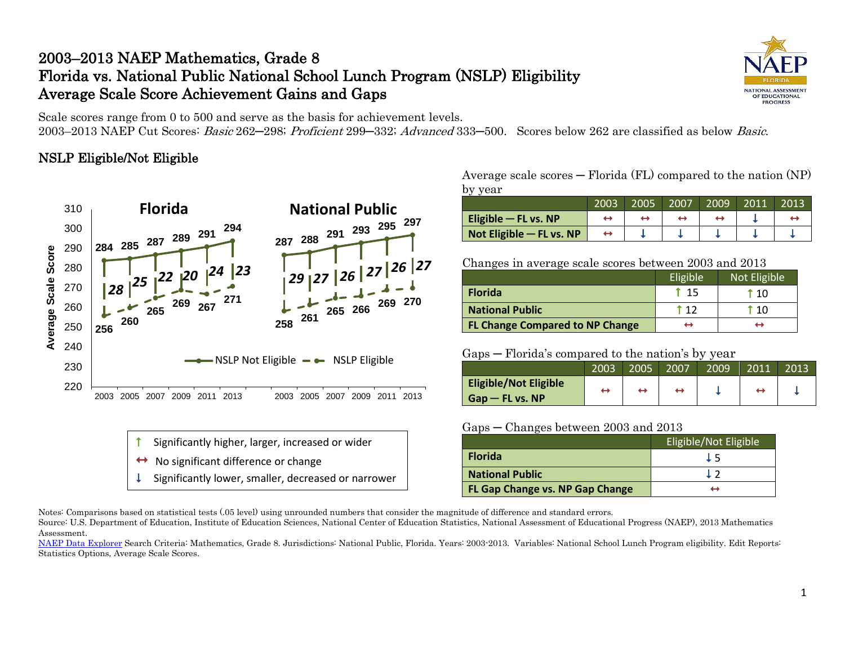# 2003–2013 NAEP Mathematics, Grade 8 Florida vs. National Public National School Lunch Program (NSLP) Eligibility Average Scale Score Achievement Gains and Gaps



Scale scores range from 0 to 500 and serve as the basis for achievement levels. 2003–2013 NAEP Cut Scores: Basic 262–298; Proficient 299–332; Advanced 333–500. Scores below 262 are classified as below Basic.

### NSLP Eligible/Not Eligible



- Significantly higher, larger, increased or wider
- No significant difference or change
- Significantly lower, smaller, decreased or narrower

Average scale scores  $-$  Florida (FL) compared to the nation (NP) by year

|                          | 2003 | 2005 | 2007 | 2009 | 2011 | . 2013 |
|--------------------------|------|------|------|------|------|--------|
| Eligible $-$ FL vs. NP   |      |      |      |      |      |        |
| Not Eligible - FL vs. NP |      |      |      |      |      |        |

Changes in average scale scores between 2003 and 2013

|                                        | Eligible <sup>1</sup> | Not Eligible |
|----------------------------------------|-----------------------|--------------|
| <b>Florida</b>                         | $-15$                 | T 10         |
| <b>National Public</b>                 | † 17                  | 10           |
| <b>FL Change Compared to NP Change</b> |                       | ↤            |

#### Gaps ─ Florida's compared to the nation's by year

|                                                    | 2003 | 2005 | 2007 | 2009 | 2011 | 2013 |
|----------------------------------------------------|------|------|------|------|------|------|
| <b>Eligible/Not Eligible</b><br>$G$ ap — FL vs. NP | ↽    |      | ↔    |      |      |      |

### Gaps ─ Changes between 2003 and 2013

|                                 | Eligible/Not Eligible |
|---------------------------------|-----------------------|
| <b>Florida</b>                  | 1 5                   |
| <b>National Public</b>          |                       |
| FL Gap Change vs. NP Gap Change | н                     |

Notes: Comparisons based on statistical tests (.05 level) using unrounded numbers that consider the magnitude of difference and standard errors.

Source: U.S. Department of Education, Institute of Education Sciences, National Center of Education Statistics, National Assessment of Educational Progress (NAEP), 2013 Mathematics Assessment.

[NAEP Data Explorer](http://nces.ed.gov/nationsreportcard/naepdata/) Search Criteria: Mathematics, Grade 8. Jurisdictions: National Public, Florida. Years: 2003-2013. Variables: National School Lunch Program eligibility. Edit Reports: Statistics Options, Average Scale Scores.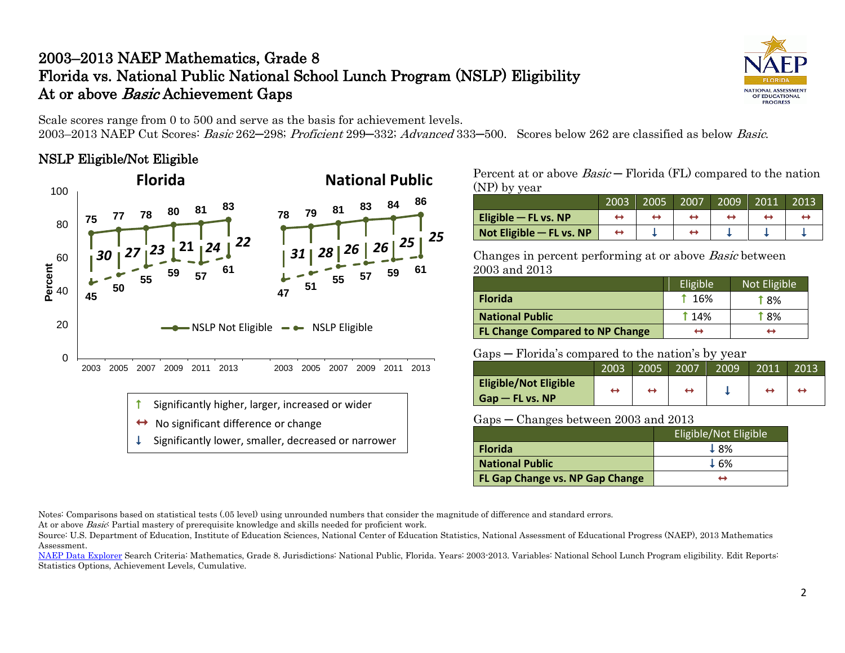# 2003–2013 NAEP Mathematics, Grade 8 Florida vs. National Public National School Lunch Program (NSLP) Eligibility At or above Basic Achievement Gaps



Scale scores range from 0 to 500 and serve as the basis for achievement levels.

2003–2013 NAEP Cut Scores: Basic 262–298; Proficient 299–332; Advanced 333–500. Scores below 262 are classified as below Basic.

### NSLP Eligible/Not Eligible



No significant difference or change

Significantly lower, smaller, decreased or narrower

Percent at or above  $Basic-$  Florida (FL) compared to the nation (NP) by year

|                          | 2003 | 2005 | 2007 | 2009 | 2011 | 2013 |
|--------------------------|------|------|------|------|------|------|
| Eligible $-$ FL vs. NP   |      |      |      |      |      |      |
| Not Eligible - FL vs. NP |      |      |      |      |      |      |

Changes in percent performing at or above Basic between 2003 and 2013

|                                        | Eligible   | Not Eligible |
|----------------------------------------|------------|--------------|
| <b>Florida</b>                         | 1 16%      | T 8%         |
| <b>National Public</b>                 | <b>14%</b> | <b>18%</b>   |
| <b>FL Change Compared to NP Change</b> | ↔          | ↔            |

### Gaps ─ Florida's compared to the nation's by year

|                              | 2003 | 2005 | 2007 | 2009 | 2011 | 2013 |
|------------------------------|------|------|------|------|------|------|
| <b>Eligible/Not Eligible</b> | -    | H    |      |      |      |      |
| $Gap$ – FL vs. NP            |      |      |      |      |      |      |

#### Gaps ─ Changes between 2003 and 2013

|                                 | <b>Eligible/Not Eligible</b> |
|---------------------------------|------------------------------|
| <b>Florida</b>                  | 18%                          |
| <b>National Public</b>          | $\pm$ 6%                     |
| FL Gap Change vs. NP Gap Change |                              |

Notes: Comparisons based on statistical tests (.05 level) using unrounded numbers that consider the magnitude of difference and standard errors.

At or above *Basic*: Partial mastery of prerequisite knowledge and skills needed for proficient work.

Source: U.S. Department of Education, Institute of Education Sciences, National Center of Education Statistics, National Assessment of Educational Progress (NAEP), 2013 Mathematics Assessment.

[NAEP Data Explorer](http://nces.ed.gov/nationsreportcard/naepdata/) Search Criteria: Mathematics, Grade 8. Jurisdictions: National Public, Florida. Years: 2003-2013. Variables: National School Lunch Program eligibility. Edit Reports: Statistics Options, Achievement Levels, Cumulative.